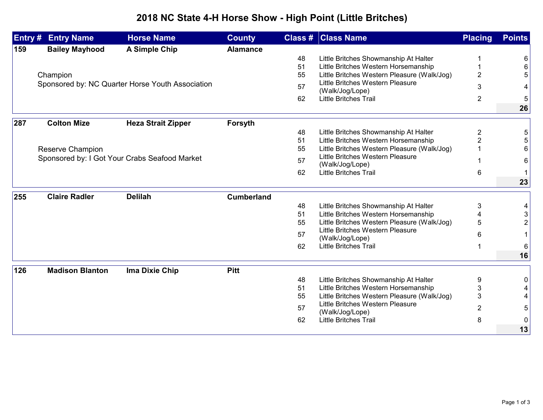## **2018 NC State 4-H Horse Show - High Point (Little Britches)**

|     | <b>Entry # Entry Name</b>                        | <b>Horse Name</b>         | <b>County</b>     |          | <b>Class # Class Name</b>                                                           | <b>Placing</b> | <b>Points</b>  |
|-----|--------------------------------------------------|---------------------------|-------------------|----------|-------------------------------------------------------------------------------------|----------------|----------------|
| 159 | <b>Bailey Mayhood</b>                            | <b>A Simple Chip</b>      | <b>Alamance</b>   |          |                                                                                     |                |                |
|     |                                                  |                           |                   | 48       | Little Britches Showmanship At Halter                                               |                | 6              |
|     |                                                  |                           |                   | 51       | Little Britches Western Horsemanship                                                |                | 6              |
|     | Champion                                         |                           |                   | 55       | Little Britches Western Pleasure (Walk/Jog)                                         | $\overline{2}$ | 5              |
|     | Sponsored by: NC Quarter Horse Youth Association |                           |                   | 57       | Little Britches Western Pleasure<br>(Walk/Jog/Lope)                                 | 3              | 4              |
|     |                                                  |                           |                   | 62       | Little Britches Trail                                                               | $\overline{2}$ | 5              |
|     |                                                  |                           |                   |          |                                                                                     |                | 26             |
|     | <b>Colton Mize</b>                               |                           |                   |          |                                                                                     |                |                |
| 287 |                                                  | <b>Heza Strait Zipper</b> | Forsyth           |          |                                                                                     |                |                |
|     |                                                  |                           |                   | 48       | Little Britches Showmanship At Halter                                               | 2              | 5              |
|     |                                                  |                           |                   | 51<br>55 | Little Britches Western Horsemanship<br>Little Britches Western Pleasure (Walk/Jog) | 2              | 5<br>6         |
|     | Reserve Champion                                 |                           |                   |          | Little Britches Western Pleasure                                                    |                |                |
|     | Sponsored by: I Got Your Crabs Seafood Market    |                           |                   | 57       | (Walk/Jog/Lope)                                                                     |                | 6              |
|     |                                                  |                           |                   | 62       | Little Britches Trail                                                               | 6              | 1 <sup>1</sup> |
|     |                                                  |                           |                   |          |                                                                                     |                | 23             |
| 255 | <b>Claire Radler</b>                             | <b>Delilah</b>            | <b>Cumberland</b> |          |                                                                                     |                |                |
|     |                                                  |                           |                   | 48       | Little Britches Showmanship At Halter                                               | 3              | 4              |
|     |                                                  |                           |                   | 51       | Little Britches Western Horsemanship                                                |                | $\mathfrak{S}$ |
|     |                                                  |                           |                   | 55       | Little Britches Western Pleasure (Walk/Jog)                                         | 5              | $\overline{c}$ |
|     |                                                  |                           |                   | 57       | Little Britches Western Pleasure                                                    |                |                |
|     |                                                  |                           |                   |          | (Walk/Jog/Lope)                                                                     | 6              | 1              |
|     |                                                  |                           |                   | 62       | <b>Little Britches Trail</b>                                                        |                | 6              |
|     |                                                  |                           |                   |          |                                                                                     |                | 16             |
| 126 | <b>Madison Blanton</b>                           | Ima Dixie Chip            | <b>Pitt</b>       |          |                                                                                     |                |                |
|     |                                                  |                           |                   | 48       | Little Britches Showmanship At Halter                                               | 9              | 0              |
|     |                                                  |                           |                   | 51       | Little Britches Western Horsemanship                                                | 3              |                |
|     |                                                  |                           |                   | 55       | Little Britches Western Pleasure (Walk/Jog)                                         | 3              | 4              |
|     |                                                  |                           |                   | 57       | Little Britches Western Pleasure                                                    | $\overline{2}$ | 5              |
|     |                                                  |                           |                   | 62       | (Walk/Jog/Lope)<br><b>Little Britches Trail</b>                                     | 8              | 0              |
|     |                                                  |                           |                   |          |                                                                                     |                |                |
|     |                                                  |                           |                   |          |                                                                                     |                | 13             |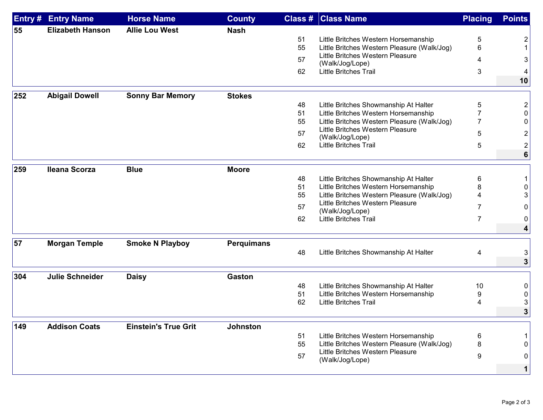| Entry# | <b>Entry Name</b>       | <b>Horse Name</b>           | <b>County</b>     | <b>Class #</b> | <b>Class Name</b>                                                               | <b>Placing</b> | <b>Points</b>  |
|--------|-------------------------|-----------------------------|-------------------|----------------|---------------------------------------------------------------------------------|----------------|----------------|
| 55     | <b>Elizabeth Hanson</b> | <b>Allie Lou West</b>       | <b>Nash</b>       |                |                                                                                 |                |                |
|        |                         |                             |                   | 51             | Little Britches Western Horsemanship                                            | 5              | 2              |
|        |                         |                             |                   | 55             | Little Britches Western Pleasure (Walk/Jog)<br>Little Britches Western Pleasure | 6              | 1              |
|        |                         |                             |                   | 57             | (Walk/Jog/Lope)                                                                 | 4              | 3              |
|        |                         |                             |                   | 62             | <b>Little Britches Trail</b>                                                    | 3              | 4              |
|        |                         |                             |                   |                |                                                                                 |                | 10             |
| 252    | <b>Abigail Dowell</b>   | <b>Sonny Bar Memory</b>     | <b>Stokes</b>     |                |                                                                                 |                |                |
|        |                         |                             |                   | 48             | Little Britches Showmanship At Halter                                           | 5              | $\overline{2}$ |
|        |                         |                             |                   | 51             | Little Britches Western Horsemanship                                            | 7              | 0              |
|        |                         |                             |                   | 55             | Little Britches Western Pleasure (Walk/Jog)                                     | 7              | 0              |
|        |                         |                             |                   | 57             | Little Britches Western Pleasure                                                | 5              | 2              |
|        |                         |                             |                   | 62             | (Walk/Jog/Lope)<br><b>Little Britches Trail</b>                                 | 5              | $\overline{c}$ |
|        |                         |                             |                   |                |                                                                                 |                | 6              |
|        |                         |                             |                   |                |                                                                                 |                |                |
| 259    | <b>Ileana Scorza</b>    | <b>Blue</b>                 | <b>Moore</b>      |                |                                                                                 |                |                |
|        |                         |                             |                   | 48             | Little Britches Showmanship At Halter                                           | 6              | 1              |
|        |                         |                             |                   | 51             | Little Britches Western Horsemanship                                            | 8              | 0              |
|        |                         |                             |                   | 55             | Little Britches Western Pleasure (Walk/Jog)                                     | 4              | 3              |
|        |                         |                             |                   | 57             | Little Britches Western Pleasure<br>(Walk/Jog/Lope)                             | 7              | 0              |
|        |                         |                             |                   | 62             | <b>Little Britches Trail</b>                                                    | $\overline{7}$ | 0              |
|        |                         |                             |                   |                |                                                                                 |                | 4              |
| 57     | <b>Morgan Temple</b>    | <b>Smoke N Playboy</b>      |                   |                |                                                                                 |                |                |
|        |                         |                             | <b>Perquimans</b> | 48             | Little Britches Showmanship At Halter                                           |                |                |
|        |                         |                             |                   |                |                                                                                 | 4              | 3<br>3         |
|        |                         |                             |                   |                |                                                                                 |                |                |
| 304    | <b>Julie Schneider</b>  | <b>Daisy</b>                | <b>Gaston</b>     |                |                                                                                 |                |                |
|        |                         |                             |                   | 48             | Little Britches Showmanship At Halter                                           | 10             | 0              |
|        |                         |                             |                   | 51             | Little Britches Western Horsemanship                                            | 9              | 0              |
|        |                         |                             |                   | 62             | <b>Little Britches Trail</b>                                                    | 4              | 3              |
|        |                         |                             |                   |                |                                                                                 |                | 3              |
| 149    | <b>Addison Coats</b>    | <b>Einstein's True Grit</b> | <b>Johnston</b>   |                |                                                                                 |                |                |
|        |                         |                             |                   | 51             | Little Britches Western Horsemanship                                            | 6              | 1              |
|        |                         |                             |                   | 55             | Little Britches Western Pleasure (Walk/Jog)                                     | 8              | 0              |
|        |                         |                             |                   | 57             | Little Britches Western Pleasure                                                | 9              | 0              |
|        |                         |                             |                   |                | (Walk/Jog/Lope)                                                                 |                |                |
|        |                         |                             |                   |                |                                                                                 |                | $\mathbf 1$    |